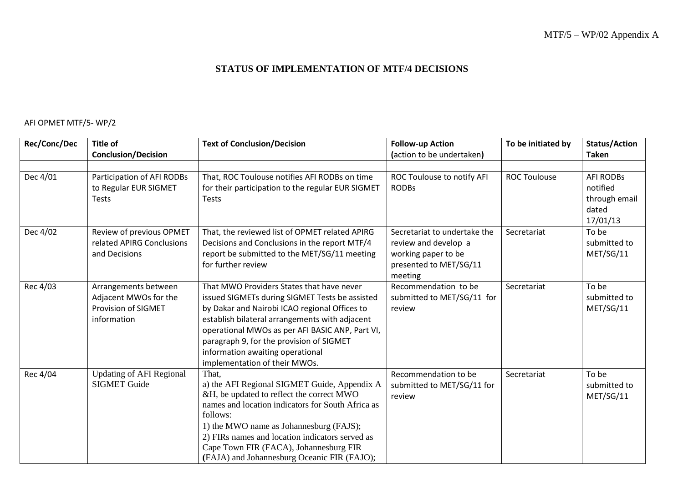## **STATUS OF IMPLEMENTATION OF MTF/4 DECISIONS**

## AFI OPMET MTF/5- WP/2

| Rec/Conc/Dec | Title of                                                                                   | <b>Text of Conclusion/Decision</b>                                                                                                                                                                                                                                                                                                                                 | <b>Follow-up Action</b>                                                                                          | To be initiated by  | <b>Status/Action</b>                                               |
|--------------|--------------------------------------------------------------------------------------------|--------------------------------------------------------------------------------------------------------------------------------------------------------------------------------------------------------------------------------------------------------------------------------------------------------------------------------------------------------------------|------------------------------------------------------------------------------------------------------------------|---------------------|--------------------------------------------------------------------|
|              | <b>Conclusion/Decision</b>                                                                 |                                                                                                                                                                                                                                                                                                                                                                    | (action to be undertaken)                                                                                        |                     | <b>Taken</b>                                                       |
| Dec 4/01     | Participation of AFI RODBs<br>to Regular EUR SIGMET<br><b>Tests</b>                        | That, ROC Toulouse notifies AFI RODBs on time<br>for their participation to the regular EUR SIGMET<br><b>Tests</b>                                                                                                                                                                                                                                                 | ROC Toulouse to notify AFI<br><b>RODBs</b>                                                                       | <b>ROC Toulouse</b> | <b>AFI RODBs</b><br>notified<br>through email<br>dated<br>17/01/13 |
| Dec 4/02     | Review of previous OPMET<br>related APIRG Conclusions<br>and Decisions                     | That, the reviewed list of OPMET related APIRG<br>Decisions and Conclusions in the report MTF/4<br>report be submitted to the MET/SG/11 meeting<br>for further review                                                                                                                                                                                              | Secretariat to undertake the<br>review and develop a<br>working paper to be<br>presented to MET/SG/11<br>meeting | Secretariat         | To be<br>submitted to<br>MET/SG/11                                 |
| Rec 4/03     | Arrangements between<br>Adjacent MWOs for the<br><b>Provision of SIGMET</b><br>information | That MWO Providers States that have never<br>issued SIGMETs during SIGMET Tests be assisted<br>by Dakar and Nairobi ICAO regional Offices to<br>establish bilateral arrangements with adjacent<br>operational MWOs as per AFI BASIC ANP, Part VI,<br>paragraph 9, for the provision of SIGMET<br>information awaiting operational<br>implementation of their MWOs. | Recommendation to be<br>submitted to MET/SG/11 for<br>review                                                     | Secretariat         | To be<br>submitted to<br>MET/SG/11                                 |
| Rec 4/04     | <b>Updating of AFI Regional</b><br><b>SIGMET Guide</b>                                     | That.<br>a) the AFI Regional SIGMET Guide, Appendix A<br>&H, be updated to reflect the correct MWO<br>names and location indicators for South Africa as<br>follows:<br>1) the MWO name as Johannesburg (FAJS);<br>2) FIRs names and location indicators served as<br>Cape Town FIR (FACA), Johannesburg FIR<br>(FAJA) and Johannesburg Oceanic FIR (FAJO);         | Recommendation to be<br>submitted to MET/SG/11 for<br>review                                                     | Secretariat         | To be<br>submitted to<br>MET/SG/11                                 |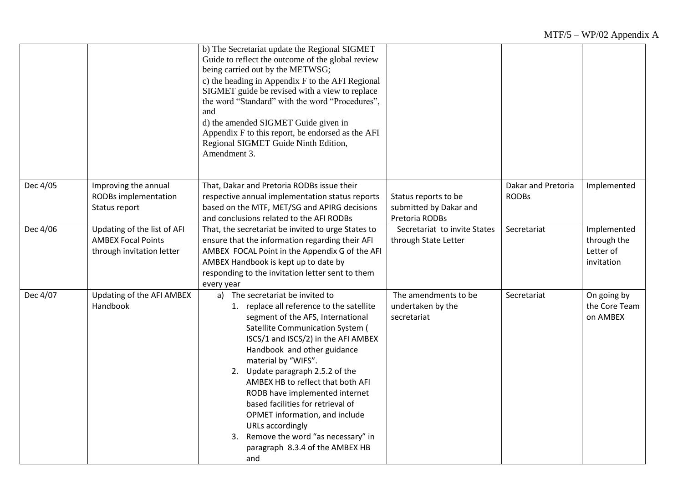|          |                                                                                       | b) The Secretariat update the Regional SIGMET<br>Guide to reflect the outcome of the global review<br>being carried out by the METWSG;<br>c) the heading in Appendix F to the AFI Regional<br>SIGMET guide be revised with a view to replace<br>the word "Standard" with the word "Procedures",<br>and<br>d) the amended SIGMET Guide given in<br>Appendix F to this report, be endorsed as the AFI<br>Regional SIGMET Guide Ninth Edition,<br>Amendment 3.                                                                                 |                                                                  |                                    |                                                       |
|----------|---------------------------------------------------------------------------------------|---------------------------------------------------------------------------------------------------------------------------------------------------------------------------------------------------------------------------------------------------------------------------------------------------------------------------------------------------------------------------------------------------------------------------------------------------------------------------------------------------------------------------------------------|------------------------------------------------------------------|------------------------------------|-------------------------------------------------------|
| Dec 4/05 | Improving the annual<br>RODBs implementation<br>Status report                         | That, Dakar and Pretoria RODBs issue their<br>respective annual implementation status reports<br>based on the MTF, MET/SG and APIRG decisions<br>and conclusions related to the AFI RODBs                                                                                                                                                                                                                                                                                                                                                   | Status reports to be<br>submitted by Dakar and<br>Pretoria RODBs | Dakar and Pretoria<br><b>RODBs</b> | Implemented                                           |
| Dec 4/06 | Updating of the list of AFI<br><b>AMBEX Focal Points</b><br>through invitation letter | That, the secretariat be invited to urge States to<br>ensure that the information regarding their AFI<br>AMBEX FOCAL Point in the Appendix G of the AFI<br>AMBEX Handbook is kept up to date by<br>responding to the invitation letter sent to them<br>every year                                                                                                                                                                                                                                                                           | Secretariat to invite States<br>through State Letter             | Secretariat                        | Implemented<br>through the<br>Letter of<br>invitation |
| Dec 4/07 | Updating of the AFI AMBEX<br>Handbook                                                 | a) The secretariat be invited to<br>1. replace all reference to the satellite<br>segment of the AFS, International<br>Satellite Communication System (<br>ISCS/1 and ISCS/2) in the AFI AMBEX<br>Handbook and other guidance<br>material by "WIFS".<br>2. Update paragraph 2.5.2 of the<br>AMBEX HB to reflect that both AFI<br>RODB have implemented internet<br>based facilities for retrieval of<br>OPMET information, and include<br>URLs accordingly<br>3. Remove the word "as necessary" in<br>paragraph 8.3.4 of the AMBEX HB<br>and | The amendments to be<br>undertaken by the<br>secretariat         | Secretariat                        | On going by<br>the Core Team<br>on AMBEX              |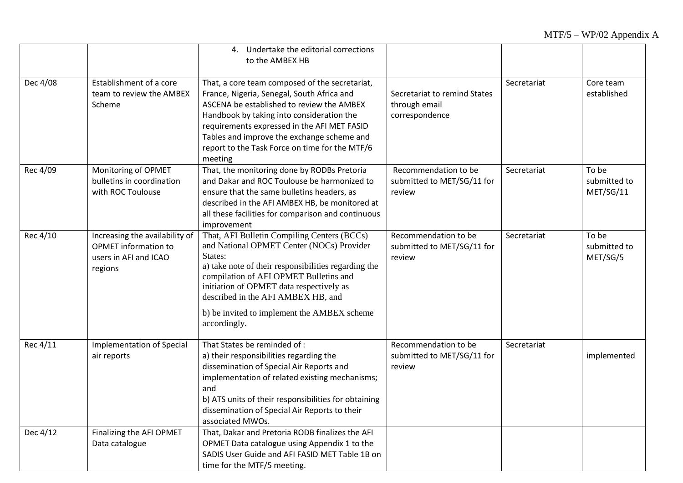|          |                                                                                                   | 4. Undertake the editorial corrections<br>to the AMBEX HB                                                                                                                                                                                                                                                                                              |                                                                 |             |                                    |
|----------|---------------------------------------------------------------------------------------------------|--------------------------------------------------------------------------------------------------------------------------------------------------------------------------------------------------------------------------------------------------------------------------------------------------------------------------------------------------------|-----------------------------------------------------------------|-------------|------------------------------------|
| Dec 4/08 | Establishment of a core<br>team to review the AMBEX<br>Scheme                                     | That, a core team composed of the secretariat,<br>France, Nigeria, Senegal, South Africa and<br>ASCENA be established to review the AMBEX<br>Handbook by taking into consideration the<br>requirements expressed in the AFI MET FASID<br>Tables and improve the exchange scheme and<br>report to the Task Force on time for the MTF/6<br>meeting       | Secretariat to remind States<br>through email<br>correspondence | Secretariat | Core team<br>established           |
| Rec 4/09 | Monitoring of OPMET<br>bulletins in coordination<br>with ROC Toulouse                             | That, the monitoring done by RODBs Pretoria<br>and Dakar and ROC Toulouse be harmonized to<br>ensure that the same bulletins headers, as<br>described in the AFI AMBEX HB, be monitored at<br>all these facilities for comparison and continuous<br>improvement                                                                                        | Recommendation to be<br>submitted to MET/SG/11 for<br>review    | Secretariat | To be<br>submitted to<br>MET/SG/11 |
| Rec 4/10 | Increasing the availability of<br><b>OPMET</b> information to<br>users in AFI and ICAO<br>regions | That, AFI Bulletin Compiling Centers (BCCs)<br>and National OPMET Center (NOCs) Provider<br>States:<br>a) take note of their responsibilities regarding the<br>compilation of AFI OPMET Bulletins and<br>initiation of OPMET data respectively as<br>described in the AFI AMBEX HB, and<br>b) be invited to implement the AMBEX scheme<br>accordingly. | Recommendation to be<br>submitted to MET/SG/11 for<br>review    | Secretariat | To be<br>submitted to<br>MET/SG/5  |
| Rec 4/11 | <b>Implementation of Special</b><br>air reports                                                   | That States be reminded of:<br>a) their responsibilities regarding the<br>dissemination of Special Air Reports and<br>implementation of related existing mechanisms;<br>and<br>b) ATS units of their responsibilities for obtaining<br>dissemination of Special Air Reports to their<br>associated MWOs.                                               | Recommendation to be<br>submitted to MET/SG/11 for<br>review    | Secretariat | implemented                        |
| Dec 4/12 | Finalizing the AFI OPMET<br>Data catalogue                                                        | That, Dakar and Pretoria RODB finalizes the AFI<br>OPMET Data catalogue using Appendix 1 to the<br>SADIS User Guide and AFI FASID MET Table 1B on<br>time for the MTF/5 meeting.                                                                                                                                                                       |                                                                 |             |                                    |